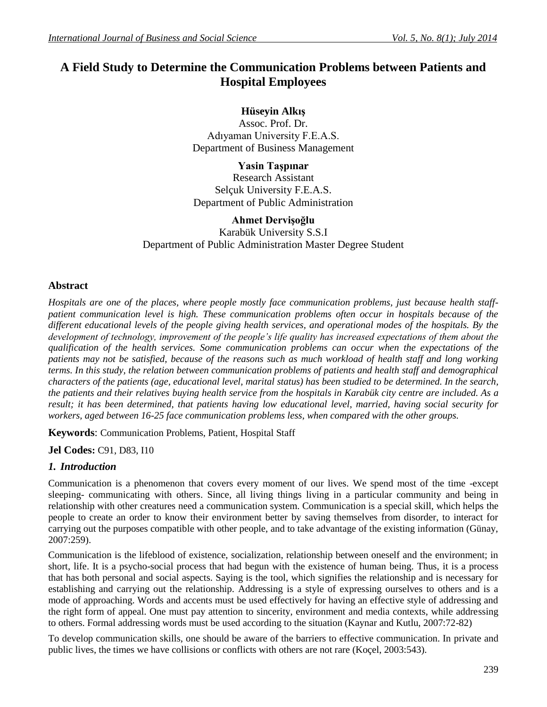# **A Field Study to Determine the Communication Problems between Patients and Hospital Employees**

**Hüseyin Alkış**

Assoc. Prof. Dr. Adıyaman University F.E.A.S. Department of Business Management

**Yasin Taşpınar** Research Assistant Selçuk University F.E.A.S. Department of Public Administration

## **Ahmet Dervişoğlu**

Karabük University S.S.I Department of Public Administration Master Degree Student

## **Abstract**

*Hospitals are one of the places, where people mostly face communication problems, just because health staffpatient communication level is high. These communication problems often occur in hospitals because of the different educational levels of the people giving health services, and operational modes of the hospitals. By the development of technology, improvement of the people's life quality has increased expectations of them about the qualification of the health services. Some communication problems can occur when the expectations of the patients may not be satisfied, because of the reasons such as much workload of health staff and long working terms. In this study, the relation between communication problems of patients and health staff and demographical characters of the patients (age, educational level, marital status) has been studied to be determined. In the search, the patients and their relatives buying health service from the hospitals in Karabük city centre are included. As a result; it has been determined, that patients having low educational level, married, having social security for workers, aged between 16-25 face communication problems less, when compared with the other groups.*

**Keywords**: Communication Problems, Patient, Hospital Staff

**Jel Codes:** C91, D83, I10

## *1. Introduction*

Communication is a phenomenon that covers every moment of our lives. We spend most of the time -except sleeping- communicating with others. Since, all living things living in a particular community and being in relationship with other creatures need a communication system. Communication is a special skill, which helps the people to create an order to know their environment better by saving themselves from disorder, to interact for carrying out the purposes compatible with other people, and to take advantage of the existing information (Günay, 2007:259).

Communication is the lifeblood of existence, socialization, relationship between oneself and the environment; in short, life. It is a psycho-social process that had begun with the existence of human being. Thus, it is a process that has both personal and social aspects. Saying is the tool, which signifies the relationship and is necessary for establishing and carrying out the relationship. Addressing is a style of expressing ourselves to others and is a mode of approaching. Words and accents must be used effectively for having an effective style of addressing and the right form of appeal. One must pay attention to sincerity, environment and media contexts, while addressing to others. Formal addressing words must be used according to the situation (Kaynar and Kutlu, 2007:72-82)

To develop communication skills, one should be aware of the barriers to effective communication. In private and public lives, the times we have collisions or conflicts with others are not rare (Koçel, 2003:543).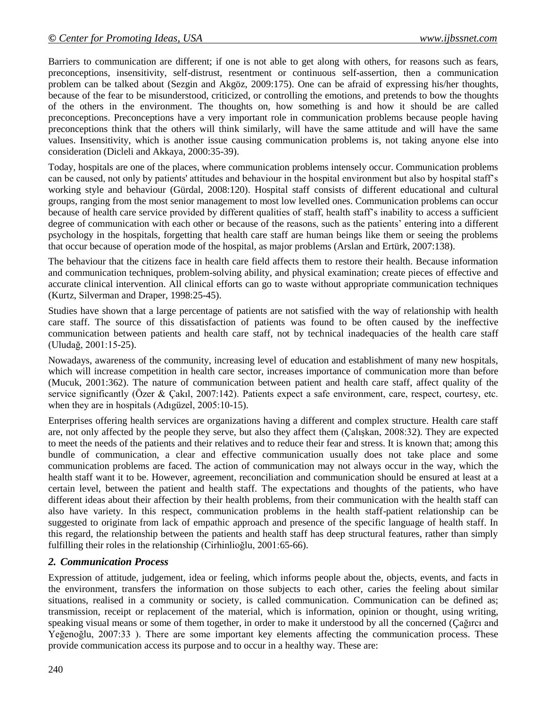Barriers to communication are different; if one is not able to get along with others, for reasons such as fears, preconceptions, insensitivity, self-distrust, resentment or continuous self-assertion, then a communication problem can be talked about (Sezgin and Akgöz, 2009:175). One can be afraid of expressing his/her thoughts, because of the fear to be misunderstood, criticized, or controlling the emotions, and pretends to bow the thoughts of the others in the environment. The thoughts on, how something is and how it should be are called preconceptions. Preconceptions have a very important role in communication problems because people having preconceptions think that the others will think similarly, will have the same attitude and will have the same values. Insensitivity, which is another issue causing communication problems is, not taking anyone else into consideration (Dicleli and Akkaya, 2000:35-39).

Today, hospitals are one of the places, where communication problems intensely occur. Communication problems can be caused, not only by patients' attitudes and behaviour in the hospital environment but also by hospital staff's working style and behaviour (Gürdal, 2008:120). Hospital staff consists of different educational and cultural groups, ranging from the most senior management to most low levelled ones. Communication problems can occur because of health care service provided by different qualities of staff, health staff's inability to access a sufficient degree of communication with each other or because of the reasons, such as the patients' entering into a different psychology in the hospitals, forgetting that health care staff are human beings like them or seeing the problems that occur because of operation mode of the hospital, as major problems (Arslan and Ertürk, 2007:138).

The behaviour that the citizens face in health care field affects them to restore their health. Because information and communication techniques, problem-solving ability, and physical examination; create pieces of effective and accurate clinical intervention. All clinical efforts can go to waste without appropriate communication techniques (Kurtz, Silverman and Draper, 1998:25-45).

Studies have shown that a large percentage of patients are not satisfied with the way of relationship with health care staff. The source of this dissatisfaction of patients was found to be often caused by the ineffective communication between patients and health care staff, not by technical inadequacies of the health care staff (Uludağ, 2001:15-25).

Nowadays, awareness of the community, increasing level of education and establishment of many new hospitals, which will increase competition in health care sector, increases importance of communication more than before (Mucuk, 2001:362). The nature of communication between patient and health care staff, affect quality of the service significantly (Özer & Çakıl, 2007:142). Patients expect a safe environment, care, respect, courtesy, etc. when they are in hospitals (Adıgüzel, 2005:10-15).

Enterprises offering health services are organizations having a different and complex structure. Health care staff are, not only affected by the people they serve, but also they affect them (Çalışkan, 2008:32). They are expected to meet the needs of the patients and their relatives and to reduce their fear and stress. It is known that; among this bundle of communication, a clear and effective communication usually does not take place and some communication problems are faced. The action of communication may not always occur in the way, which the health staff want it to be. However, agreement, reconciliation and communication should be ensured at least at a certain level, between the patient and health staff. The expectations and thoughts of the patients, who have different ideas about their affection by their health problems, from their communication with the health staff can also have variety. In this respect, communication problems in the health staff-patient relationship can be suggested to originate from lack of empathic approach and presence of the specific language of health staff. In this regard, the relationship between the patients and health staff has deep structural features, rather than simply fulfilling their roles in the relationship (Cirhinlioğlu, 2001:65-66).

# *2. Communication Process*

Expression of attitude, judgement, idea or feeling, which informs people about the, objects, events, and facts in the environment, transfers the information on those subjects to each other, caries the feeling about similar situations, realised in a community or society, is called communication. Communication can be defined as; transmission, receipt or replacement of the material, which is information, opinion or thought, using writing, speaking visual means or some of them together, in order to make it understood by all the concerned (Çağırcı and Yeğenoğlu, 2007:33 ). There are some important key elements affecting the communication process. These provide communication access its purpose and to occur in a healthy way. These are: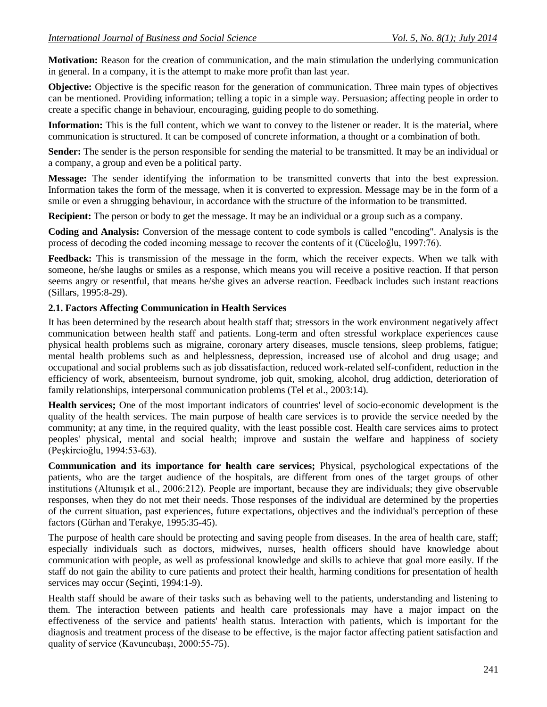**Motivation:** Reason for the creation of communication, and the main stimulation the underlying communication in general. In a company, it is the attempt to make more profit than last year.

**Objective:** Objective is the specific reason for the generation of communication. Three main types of objectives can be mentioned. Providing information; telling a topic in a simple way. Persuasion; affecting people in order to create a specific change in behaviour, encouraging, guiding people to do something.

**Information:** This is the full content, which we want to convey to the listener or reader. It is the material, where communication is structured. It can be composed of concrete information, a thought or a combination of both.

**Sender:** The sender is the person responsible for sending the material to be transmitted. It may be an individual or a company, a group and even be a political party.

**Message:** The sender identifying the information to be transmitted converts that into the best expression. Information takes the form of the message, when it is converted to expression. Message may be in the form of a smile or even a shrugging behaviour, in accordance with the structure of the information to be transmitted.

**Recipient:** The person or body to get the message. It may be an individual or a group such as a company.

**Coding and Analysis:** Conversion of the message content to code symbols is called "encoding". Analysis is the process of decoding the coded incoming message to recover the contents of it (Cüceloğlu, 1997:76).

**Feedback:** This is transmission of the message in the form, which the receiver expects. When we talk with someone, he/she laughs or smiles as a response, which means you will receive a positive reaction. If that person seems angry or resentful, that means he/she gives an adverse reaction. Feedback includes such instant reactions (Sillars, 1995:8-29).

#### **2.1. Factors Affecting Communication in Health Services**

It has been determined by the research about health staff that; stressors in the work environment negatively affect communication between health staff and patients. Long-term and often stressful workplace experiences cause physical health problems such as migraine, coronary artery diseases, muscle tensions, sleep problems, fatigue; mental health problems such as and helplessness, depression, increased use of alcohol and drug usage; and occupational and social problems such as job dissatisfaction, reduced work-related self-confident, reduction in the efficiency of work, absenteeism, burnout syndrome, job quit, smoking, alcohol, drug addiction, deterioration of family relationships, interpersonal communication problems (Tel et al., 2003:14).

**Health services;** One of the most important indicators of countries' level of socio-economic development is the quality of the health services. The main purpose of health care services is to provide the service needed by the community; at any time, in the required quality, with the least possible cost. Health care services aims to protect peoples' physical, mental and social health; improve and sustain the welfare and happiness of society (Peşkircioğlu, 1994:53-63).

**Communication and its importance for health care services;** Physical, psychological expectations of the patients, who are the target audience of the hospitals, are different from ones of the target groups of other institutions (Altunışık et al., 2006:212). People are important, because they are individuals; they give observable responses, when they do not met their needs. Those responses of the individual are determined by the properties of the current situation, past experiences, future expectations, objectives and the individual's perception of these factors (Gürhan and Terakye, 1995:35-45).

The purpose of health care should be protecting and saving people from diseases. In the area of health care, staff; especially individuals such as doctors, midwives, nurses, health officers should have knowledge about communication with people, as well as professional knowledge and skills to achieve that goal more easily. If the staff do not gain the ability to cure patients and protect their health, harming conditions for presentation of health services may occur (Seçinti, 1994:1-9).

Health staff should be aware of their tasks such as behaving well to the patients, understanding and listening to them. The interaction between patients and health care professionals may have a major impact on the effectiveness of the service and patients' health status. Interaction with patients, which is important for the diagnosis and treatment process of the disease to be effective, is the major factor affecting patient satisfaction and quality of service (Kavuncubaşı, 2000:55-75).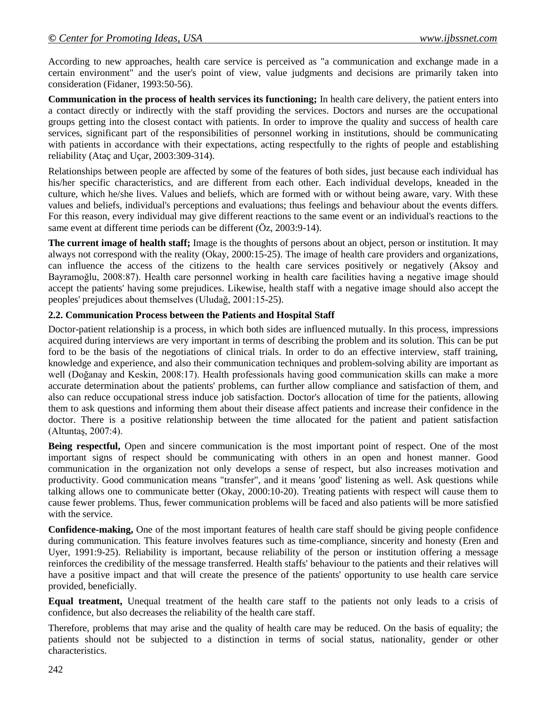According to new approaches, health care service is perceived as "a communication and exchange made in a certain environment" and the user's point of view, value judgments and decisions are primarily taken into consideration (Fidaner, 1993:50-56).

**Communication in the process of health services its functioning;** In health care delivery, the patient enters into a contact directly or indirectly with the staff providing the services. Doctors and nurses are the occupational groups getting into the closest contact with patients. In order to improve the quality and success of health care services, significant part of the responsibilities of personnel working in institutions, should be communicating with patients in accordance with their expectations, acting respectfully to the rights of people and establishing reliability (Ataç and Uçar, 2003:309-314).

Relationships between people are affected by some of the features of both sides, just because each individual has his/her specific characteristics, and are different from each other. Each individual develops, kneaded in the culture, which he/she lives. Values and beliefs, which are formed with or without being aware, vary. With these values and beliefs, individual's perceptions and evaluations; thus feelings and behaviour about the events differs. For this reason, every individual may give different reactions to the same event or an individual's reactions to the same event at different time periods can be different (Öz, 2003:9-14).

**The current image of health staff;** Image is the thoughts of persons about an object, person or institution. It may always not correspond with the reality (Okay, 2000:15-25). The image of health care providers and organizations, can influence the access of the citizens to the health care services positively or negatively (Aksoy and Bayramoğlu, 2008:87). Health care personnel working in health care facilities having a negative image should accept the patients' having some prejudices. Likewise, health staff with a negative image should also accept the peoples' prejudices about themselves (Uludağ, 2001:15-25).

## **2.2. Communication Process between the Patients and Hospital Staff**

Doctor-patient relationship is a process, in which both sides are influenced mutually. In this process, impressions acquired during interviews are very important in terms of describing the problem and its solution. This can be put ford to be the basis of the negotiations of clinical trials. In order to do an effective interview, staff training, knowledge and experience, and also their communication techniques and problem-solving ability are important as well (Doğanay and Keskin, 2008:17). Health professionals having good communication skills can make a more accurate determination about the patients' problems, can further allow compliance and satisfaction of them, and also can reduce occupational stress induce job satisfaction. Doctor's allocation of time for the patients, allowing them to ask questions and informing them about their disease affect patients and increase their confidence in the doctor. There is a positive relationship between the time allocated for the patient and patient satisfaction (Altuntaş, 2007:4).

Being respectful, Open and sincere communication is the most important point of respect. One of the most important signs of respect should be communicating with others in an open and honest manner. Good communication in the organization not only develops a sense of respect, but also increases motivation and productivity. Good communication means "transfer", and it means 'good' listening as well. Ask questions while talking allows one to communicate better (Okay, 2000:10-20). Treating patients with respect will cause them to cause fewer problems. Thus, fewer communication problems will be faced and also patients will be more satisfied with the service.

**Confidence-making,** One of the most important features of health care staff should be giving people confidence during communication. This feature involves features such as time-compliance, sincerity and honesty (Eren and Uyer, 1991:9-25). Reliability is important, because reliability of the person or institution offering a message reinforces the credibility of the message transferred. Health staffs' behaviour to the patients and their relatives will have a positive impact and that will create the presence of the patients' opportunity to use health care service provided, beneficially.

**Equal treatment,** Unequal treatment of the health care staff to the patients not only leads to a crisis of confidence, but also decreases the reliability of the health care staff.

Therefore, problems that may arise and the quality of health care may be reduced. On the basis of equality; the patients should not be subjected to a distinction in terms of social status, nationality, gender or other characteristics.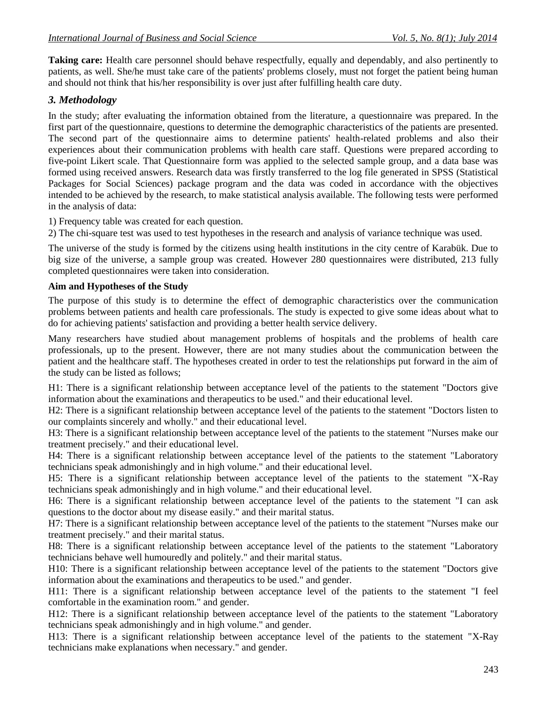**Taking care:** Health care personnel should behave respectfully, equally and dependably, and also pertinently to patients, as well. She/he must take care of the patients' problems closely, must not forget the patient being human and should not think that his/her responsibility is over just after fulfilling health care duty.

# *3. Methodology*

In the study; after evaluating the information obtained from the literature, a questionnaire was prepared. In the first part of the questionnaire, questions to determine the demographic characteristics of the patients are presented. The second part of the questionnaire aims to determine patients' health-related problems and also their experiences about their communication problems with health care staff. Questions were prepared according to five-point Likert scale. That Questionnaire form was applied to the selected sample group, and a data base was formed using received answers. Research data was firstly transferred to the log file generated in SPSS (Statistical Packages for Social Sciences) package program and the data was coded in accordance with the objectives intended to be achieved by the research, to make statistical analysis available. The following tests were performed in the analysis of data:

1) Frequency table was created for each question.

2) The chi-square test was used to test hypotheses in the research and analysis of variance technique was used.

The universe of the study is formed by the citizens using health institutions in the city centre of Karabük. Due to big size of the universe, a sample group was created. However 280 questionnaires were distributed, 213 fully completed questionnaires were taken into consideration.

## **Aim and Hypotheses of the Study**

The purpose of this study is to determine the effect of demographic characteristics over the communication problems between patients and health care professionals. The study is expected to give some ideas about what to do for achieving patients' satisfaction and providing a better health service delivery.

Many researchers have studied about management problems of hospitals and the problems of health care professionals, up to the present. However, there are not many studies about the communication between the patient and the healthcare staff. The hypotheses created in order to test the relationships put forward in the aim of the study can be listed as follows;

H1: There is a significant relationship between acceptance level of the patients to the statement "Doctors give information about the examinations and therapeutics to be used." and their educational level.

H2: There is a significant relationship between acceptance level of the patients to the statement "Doctors listen to our complaints sincerely and wholly." and their educational level.

H3: There is a significant relationship between acceptance level of the patients to the statement "Nurses make our treatment precisely." and their educational level.

H4: There is a significant relationship between acceptance level of the patients to the statement "Laboratory technicians speak admonishingly and in high volume." and their educational level.

H5: There is a significant relationship between acceptance level of the patients to the statement "X-Ray technicians speak admonishingly and in high volume." and their educational level.

H6: There is a significant relationship between acceptance level of the patients to the statement "I can ask questions to the doctor about my disease easily." and their marital status.

H7: There is a significant relationship between acceptance level of the patients to the statement "Nurses make our treatment precisely." and their marital status.

H8: There is a significant relationship between acceptance level of the patients to the statement "Laboratory technicians behave well humouredly and politely." and their marital status.

H10: There is a significant relationship between acceptance level of the patients to the statement "Doctors give information about the examinations and therapeutics to be used." and gender.

H11: There is a significant relationship between acceptance level of the patients to the statement "I feel comfortable in the examination room." and gender.

H12: There is a significant relationship between acceptance level of the patients to the statement "Laboratory technicians speak admonishingly and in high volume." and gender.

H13: There is a significant relationship between acceptance level of the patients to the statement "X-Ray technicians make explanations when necessary." and gender.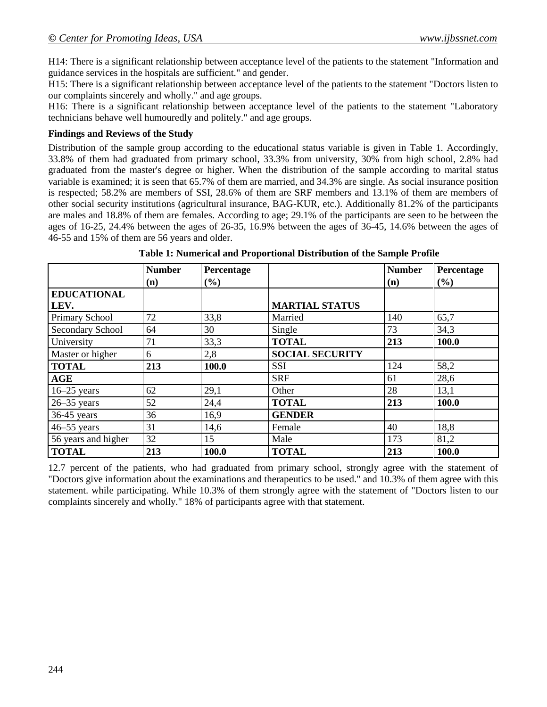H14: There is a significant relationship between acceptance level of the patients to the statement "Information and guidance services in the hospitals are sufficient." and gender.

H15: There is a significant relationship between acceptance level of the patients to the statement "Doctors listen to our complaints sincerely and wholly." and age groups.

H16: There is a significant relationship between acceptance level of the patients to the statement "Laboratory technicians behave well humouredly and politely." and age groups.

#### **Findings and Reviews of the Study**

Distribution of the sample group according to the educational status variable is given in Table 1. Accordingly, 33.8% of them had graduated from primary school, 33.3% from university, 30% from high school, 2.8% had graduated from the master's degree or higher. When the distribution of the sample according to marital status variable is examined; it is seen that 65.7% of them are married, and 34.3% are single. As social insurance position is respected; 58.2% are members of SSI, 28.6% of them are SRF members and 13.1% of them are members of other social security institutions (agricultural insurance, BAG-KUR, etc.). Additionally 81.2% of the participants are males and 18.8% of them are females. According to age; 29.1% of the participants are seen to be between the ages of 16-25, 24.4% between the ages of 26-35, 16.9% between the ages of 36-45, 14.6% between the ages of 46-55 and 15% of them are 56 years and older.

|                            | <b>Number</b><br>(n) | Percentage<br>$(\%)$ |                        | <b>Number</b><br>(n) | Percentage<br>(%) |
|----------------------------|----------------------|----------------------|------------------------|----------------------|-------------------|
| <b>EDUCATIONAL</b><br>LEV. |                      |                      | <b>MARTIAL STATUS</b>  |                      |                   |
| Primary School             | 72                   | 33,8                 | Married                | 140                  | 65,7              |
| Secondary School           | 64                   | 30                   | Single                 | 73                   | 34,3              |
| University                 | 71                   | 33,3                 | <b>TOTAL</b>           | 213                  | 100.0             |
| Master or higher           | 6                    | 2,8                  | <b>SOCIAL SECURITY</b> |                      |                   |
| <b>TOTAL</b>               | 213                  | 100.0                | <b>SSI</b>             | 124                  | 58,2              |
| AGE                        |                      |                      | <b>SRF</b>             | 61                   | 28,6              |
| $16 - 25$ years            | 62                   | 29,1                 | Other                  | 28                   | 13,1              |
| $26 - 35$ years            | 52                   | 24,4                 | <b>TOTAL</b>           | 213                  | 100.0             |
| $36-45$ years              | 36                   | 16,9                 | <b>GENDER</b>          |                      |                   |
| $46 - 55$ years            | 31                   | 14,6                 | Female                 | 40                   | 18,8              |
| 56 years and higher        | 32                   | 15                   | Male                   | 173                  | 81,2              |
| <b>TOTAL</b>               | 213                  | 100.0                | <b>TOTAL</b>           | 213                  | 100.0             |

**Table 1: Numerical and Proportional Distribution of the Sample Profile**

12.7 percent of the patients, who had graduated from primary school, strongly agree with the statement of "Doctors give information about the examinations and therapeutics to be used." and 10.3% of them agree with this statement. while participating. While 10.3% of them strongly agree with the statement of "Doctors listen to our complaints sincerely and wholly." 18% of participants agree with that statement.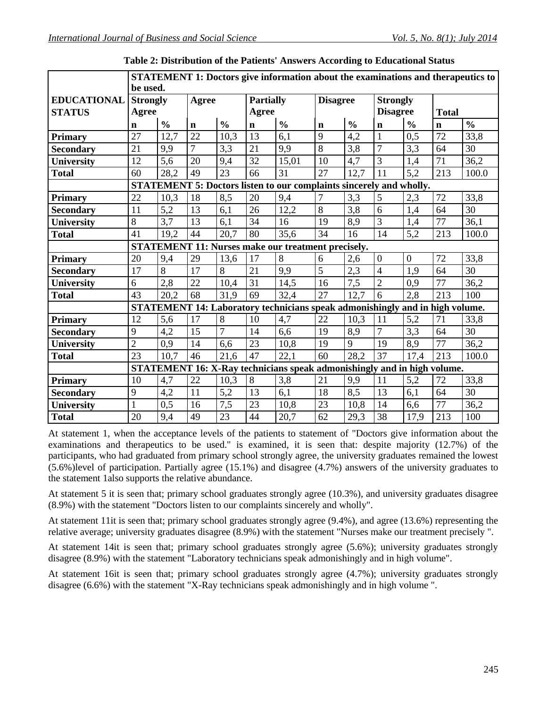|                    | STATEMENT 1: Doctors give information about the examinations and therapeutics to |               |                |                   |                  |                                                                              |                 |                  |                  |                  |                 |               |  |
|--------------------|----------------------------------------------------------------------------------|---------------|----------------|-------------------|------------------|------------------------------------------------------------------------------|-----------------|------------------|------------------|------------------|-----------------|---------------|--|
|                    | be used.                                                                         |               |                |                   |                  |                                                                              |                 |                  |                  |                  |                 |               |  |
| <b>EDUCATIONAL</b> | <b>Strongly</b>                                                                  |               | <b>Agree</b>   |                   | <b>Partially</b> |                                                                              | <b>Disagree</b> |                  | <b>Strongly</b>  |                  |                 |               |  |
| <b>STATUS</b>      | Agree                                                                            |               |                |                   | Agree            |                                                                              |                 |                  | <b>Disagree</b>  |                  | <b>Total</b>    |               |  |
|                    | $\mathbf n$                                                                      | $\frac{0}{0}$ | $\mathbf n$    | $\frac{0}{0}$     | $\mathbf n$      | $\frac{0}{0}$                                                                | $\mathbf n$     | $\frac{0}{0}$    | $\mathbf n$      | $\frac{0}{0}$    | $\mathbf n$     | $\frac{0}{0}$ |  |
| <b>Primary</b>     | 27                                                                               | 12,7          | 22             | 10,3              | 13               | 6,1                                                                          | 9               | 4,2              | 1                | 0.5              | 72              | 33,8          |  |
| <b>Secondary</b>   | 21                                                                               | 9,9           | $\overline{7}$ | 3,3               | 21               | 9,9                                                                          | 8               | 3,8              | $\overline{7}$   | 3,3              | 64              | 30            |  |
| <b>University</b>  | 12                                                                               | 5,6           | 20             | 9,4               | 32               | 15,01                                                                        | 10              | 4,7              | 3                | 1,4              | 71              | 36,2          |  |
| <b>Total</b>       | 60                                                                               | 28,2          | 49             | $\overline{23}$   | 66               | 31                                                                           | $\overline{27}$ | 12,7             | 11               | 5,2              | 213             | 100.0         |  |
|                    |                                                                                  |               |                |                   |                  | STATEMENT 5: Doctors listen to our complaints sincerely and wholly.          |                 |                  |                  |                  |                 |               |  |
| <b>Primary</b>     | 22                                                                               | 10,3          | 18             | 8,5               | 20               | 9,4                                                                          | 7               | 3,3              | 5                | 2,3              | 72              | 33,8          |  |
| <b>Secondary</b>   | 11                                                                               | 5,2           | 13             | 6,1               | 26               | 12,2                                                                         | 8               | 3,8              | 6                | 1,4              | 64              | 30            |  |
| University         | 8                                                                                | 3,7           | 13             | 6,1               | 34               | 16                                                                           | 19              | 8,9              | $\overline{3}$   | 1,4              | 77              | 36,1          |  |
| <b>Total</b>       | 41                                                                               | 19,2          | 44             | 20,7              | 80               | 35,6                                                                         | 34              | 16               | 14               | 5,2              | 213             | 100.0         |  |
|                    |                                                                                  |               |                |                   |                  | <b>STATEMENT 11: Nurses make our treatment precisely.</b>                    |                 |                  |                  |                  |                 |               |  |
| <b>Primary</b>     | 20                                                                               | 9,4           | 29             | 13,6              | 17               | $8\,$                                                                        | 6               | 2,6              | $\boldsymbol{0}$ | $\boldsymbol{0}$ | 72              | 33,8          |  |
| <b>Secondary</b>   | 17                                                                               | 8             | 17             | 8                 | 21               | 9,9                                                                          | 5               | 2,3              | $\overline{4}$   | 1,9              | 64              | 30            |  |
| University         | 6                                                                                | 2,8           | 22             | 10,4              | 31               | 14,5                                                                         | 16              | $\overline{7,5}$ | $\overline{2}$   | 0,9              | 77              | 36,2          |  |
| <b>Total</b>       | 43                                                                               | 20,2          | 68             | $\overline{31,9}$ | 69               | 32,4                                                                         | 27              | 12,7             | $\overline{6}$   | 2,8              | 213             | 100           |  |
|                    |                                                                                  |               |                |                   |                  | STATEMENT 14: Laboratory technicians speak admonishingly and in high volume. |                 |                  |                  |                  |                 |               |  |
| <b>Primary</b>     | 12                                                                               | 5,6           | 17             | 8                 | 10               | 4,7                                                                          | 22              | 10,3             | 11               | 5,2              | 71              | 33,8          |  |
| <b>Secondary</b>   | 9                                                                                | 4,2           | 15             | $\overline{7}$    | 14               | 6,6                                                                          | 19              | 8,9              | $\overline{7}$   | 3,3              | 64              | 30            |  |
| University         | $\overline{2}$                                                                   | 0,9           | 14             | 6,6               | 23               | 10,8                                                                         | 19              | 9                | 19               | 8,9              | 77              | 36,2          |  |
| <b>Total</b>       | 23                                                                               | 10,7          | 46             | 21,6              | 47               | 22,1                                                                         | 60              | 28,2             | 37               | 17,4             | 213             | 100.0         |  |
|                    |                                                                                  |               |                |                   |                  | STATEMENT 16: X-Ray technicians speak admonishingly and in high volume.      |                 |                  |                  |                  |                 |               |  |
| Primary            | 10                                                                               | 4,7           | 22             | 10,3              | 8                | 3,8                                                                          | 21              | 9,9              | 11               | 5,2              | $\overline{72}$ | 33,8          |  |
| <b>Secondary</b>   | 9                                                                                | 4,2           | 11             | 5,2               | 13               | 6,1                                                                          | 18              | 8,5              | 13               | 6,1              | 64              | 30            |  |
| <b>University</b>  | $\mathbf{1}$                                                                     | 0,5           | 16             | 7,5               | 23               | 10,8                                                                         | 23              | 10,8             | 14               | 6,6              | 77              | 36,2          |  |
| <b>Total</b>       | 20                                                                               | 9,4           | 49             | 23                | 44               | 20,7                                                                         | 62              | 29,3             | 38               | 17,9             | 213             | 100           |  |

**Table 2: Distribution of the Patients' Answers According to Educational Status**

At statement 1, when the acceptance levels of the patients to statement of "Doctors give information about the examinations and therapeutics to be used." is examined, it is seen that: despite majority (12.7%) of the participants, who had graduated from primary school strongly agree, the university graduates remained the lowest (5.6%)level of participation. Partially agree (15.1%) and disagree (4.7%) answers of the university graduates to the statement 1also supports the relative abundance.

At statement 5 it is seen that; primary school graduates strongly agree (10.3%), and university graduates disagree (8.9%) with the statement "Doctors listen to our complaints sincerely and wholly".

At statement 11it is seen that; primary school graduates strongly agree (9.4%), and agree (13.6%) representing the relative average; university graduates disagree (8.9%) with the statement "Nurses make our treatment precisely ".

At statement 14it is seen that; primary school graduates strongly agree (5.6%); university graduates strongly disagree (8.9%) with the statement "Laboratory technicians speak admonishingly and in high volume".

At statement 16it is seen that; primary school graduates strongly agree (4.7%); university graduates strongly disagree (6.6%) with the statement "X-Ray technicians speak admonishingly and in high volume ".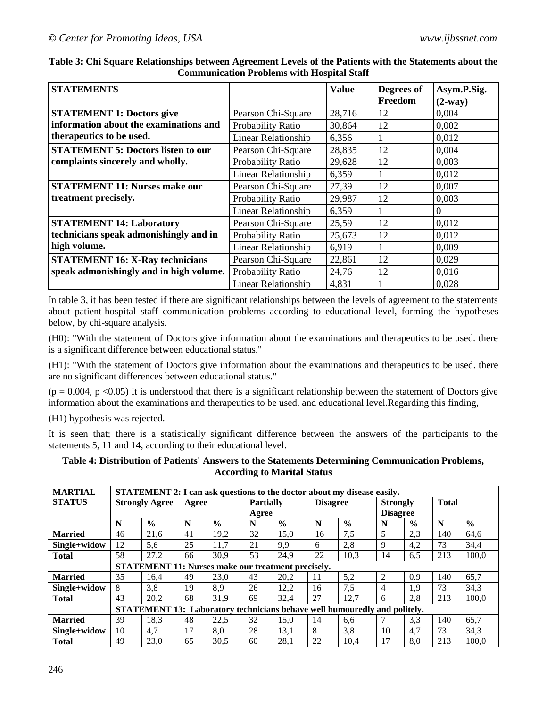| <b>STATEMENTS</b>                         |                            | <b>Value</b> | Degrees of | Asym.P.Sig. |
|-------------------------------------------|----------------------------|--------------|------------|-------------|
|                                           |                            |              | Freedom    | $(2-way)$   |
| <b>STATEMENT 1: Doctors give</b>          | Pearson Chi-Square         | 28,716       | 12         | 0,004       |
| information about the examinations and    | Probability Ratio          | 30,864       | 12         | 0,002       |
| therapeutics to be used.                  | <b>Linear Relationship</b> | 6,356        |            | 0,012       |
| <b>STATEMENT 5: Doctors listen to our</b> | Pearson Chi-Square         | 28,835       | 12         | 0,004       |
| complaints sincerely and wholly.          | Probability Ratio          | 29,628       | 12         | 0,003       |
|                                           | <b>Linear Relationship</b> | 6,359        |            | 0,012       |
| <b>STATEMENT 11: Nurses make our</b>      | Pearson Chi-Square         | 27,39        | 12         | 0,007       |
| treatment precisely.                      | Probability Ratio          | 29,987       | 12         | 0,003       |
|                                           | Linear Relationship        | 6,359        |            | $\theta$    |
| <b>STATEMENT 14: Laboratory</b>           | Pearson Chi-Square         | 25,59        | 12         | 0,012       |
| technicians speak admonishingly and in    | Probability Ratio          | 25,673       | 12         | 0,012       |
| high volume.                              | <b>Linear Relationship</b> | 6,919        | 1          | 0,009       |
| <b>STATEMENT 16: X-Ray technicians</b>    | Pearson Chi-Square         | 22,861       | 12         | 0,029       |
| speak admonishingly and in high volume.   | Probability Ratio          | 24,76        | 12         | 0,016       |
|                                           | <b>Linear Relationship</b> | 4,831        |            | 0,028       |

**Table 3: Chi Square Relationships between Agreement Levels of the Patients with the Statements about the Communication Problems with Hospital Staff**

In table 3, it has been tested if there are significant relationships between the levels of agreement to the statements about patient-hospital staff communication problems according to educational level, forming the hypotheses below, by chi-square analysis.

(H0): "With the statement of Doctors give information about the examinations and therapeutics to be used. there is a significant difference between educational status."

(H1): "With the statement of Doctors give information about the examinations and therapeutics to be used. there are no significant differences between educational status."

 $(p = 0.004, p < 0.05)$  It is understood that there is a significant relationship between the statement of Doctors give information about the examinations and therapeutics to be used. and educational level.Regarding this finding,

(H1) hypothesis was rejected.

It is seen that; there is a statistically significant difference between the answers of the participants to the statements 5, 11 and 14, according to their educational level.

#### **Table 4: Distribution of Patients' Answers to the Statements Determining Communication Problems, According to Marital Status**

| <b>MARTIAL</b> |                       | STATEMENT 2: I can ask questions to the doctor about my disease easily.          |       |               |                  |               |    |                                    |                 |               |              |               |
|----------------|-----------------------|----------------------------------------------------------------------------------|-------|---------------|------------------|---------------|----|------------------------------------|-----------------|---------------|--------------|---------------|
| <b>STATUS</b>  | <b>Strongly Agree</b> |                                                                                  | Agree |               | <b>Partially</b> |               |    | <b>Disagree</b><br><b>Strongly</b> |                 |               | <b>Total</b> |               |
|                |                       |                                                                                  |       |               | Agree            |               |    |                                    | <b>Disagree</b> |               |              |               |
|                | N                     | $\frac{0}{0}$                                                                    | N     | $\frac{0}{0}$ | N                | $\frac{0}{0}$ | N  | $\frac{0}{0}$                      | N               | $\frac{0}{0}$ | N            | $\frac{6}{9}$ |
| <b>Married</b> | 46                    | 21,6                                                                             | 41    | 19,2          | 32               | 15,0          | 16 | 7,5                                | 5               | 2,3           | 140          | 64.6          |
| Single+widow   | 12                    | 5,6                                                                              | 25    | 11,7          | 21               | 9,9           | 6  | 2,8                                | 9               | 4,2           | 73           | 34,4          |
| <b>Total</b>   | 58                    | 27,2                                                                             | 66    | 30,9          | 53               | 24,9          | 22 | 10,3                               | 14              | 6.5           | 213          | 100,0         |
|                |                       | STATEMENT 11: Nurses make our treatment precisely.                               |       |               |                  |               |    |                                    |                 |               |              |               |
| <b>Married</b> | 35                    | 16.4                                                                             | 49    | 23,0          | 43               | 20.2          | 11 | 5,2                                | $\overline{2}$  | 0.9           | 140          | 65,7          |
| Single+widow   | 8                     | 3,8                                                                              | 19    | 8,9           | 26               | 12,2          | 16 | 7,5                                | 4               | 1,9           | 73           | 34,3          |
| <b>Total</b>   | 43                    | 20,2                                                                             | 68    | 31.9          | 69               | 32.4          | 27 | 12.7                               | 6               | 2.8           | 213          | 100.0         |
|                |                       | <b>STATEMENT 13: Laboratory technicians behave well humouredly and politely.</b> |       |               |                  |               |    |                                    |                 |               |              |               |
| <b>Married</b> | 39                    | 18,3                                                                             | 48    | 22,5          | 32               | 15,0          | 14 | 6,6                                |                 | 3,3           | 140          | 65,7          |
| Single+widow   | 10                    | 4,7                                                                              | 17    | 8,0           | 28               | 13,1          | 8  | 3,8                                | 10              | 4.7           | 73           | 34.3          |
| <b>Total</b>   | 49                    | 23,0                                                                             | 65    | 30,5          | 60               | 28,1          | 22 | 10,4                               | 17              | 8.0           | 213          | 100,0         |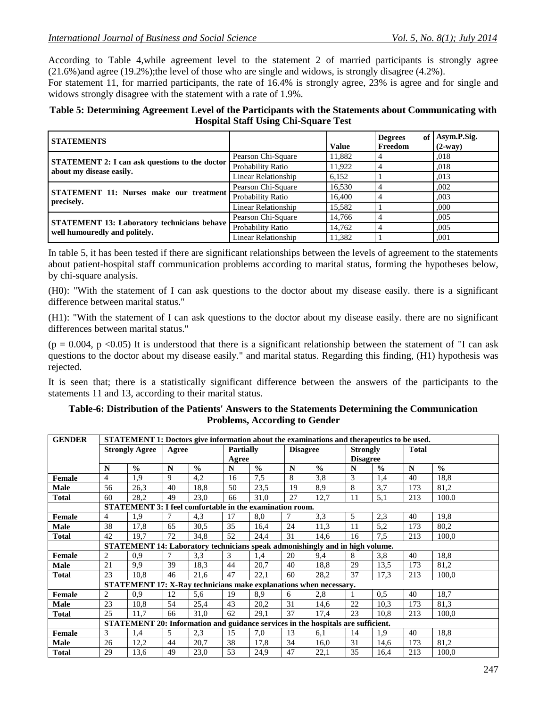According to Table 4,while agreement level to the statement 2 of married participants is strongly agree (21.6%)and agree (19.2%);the level of those who are single and widows, is strongly disagree (4.2%).

For statement 11, for married participants, the rate of 16.4% is strongly agree, 23% is agree and for single and widows strongly disagree with the statement with a rate of 1.9%.

#### **Table 5: Determining Agreement Level of the Participants with the Statements about Communicating with Hospital Staff Using Chi-Square Test**

| <b>STATEMENTS</b>                                                                   |                     | Value  | of<br><b>Degrees</b><br>Freedom | Asym.P.Sig.<br>$(2-way)$ |
|-------------------------------------------------------------------------------------|---------------------|--------|---------------------------------|--------------------------|
|                                                                                     | Pearson Chi-Square  | 11,882 |                                 | .018                     |
| STATEMENT 2: I can ask questions to the doctor<br>about my disease easily.          | Probability Ratio   | 11,922 |                                 | ,018                     |
|                                                                                     | Linear Relationship | 6,152  |                                 | ,013                     |
|                                                                                     | Pearson Chi-Square  | 16,530 |                                 | .002                     |
| <b>STATEMENT 11: Nurses make our treatment</b><br>precisely.                        | Probability Ratio   | 16,400 |                                 | ,003                     |
|                                                                                     | Linear Relationship | 15,582 |                                 | .000                     |
|                                                                                     | Pearson Chi-Square  | 14.766 |                                 | .005                     |
| <b>STATEMENT 13: Laboratory technicians behave</b><br>well humouredly and politely. | Probability Ratio   | 14.762 |                                 | .005                     |
|                                                                                     | Linear Relationship | 11,382 |                                 | ,001                     |

In table 5, it has been tested if there are significant relationships between the levels of agreement to the statements about patient-hospital staff communication problems according to marital status, forming the hypotheses below, by chi-square analysis.

(H0): "With the statement of I can ask questions to the doctor about my disease easily. there is a significant difference between marital status."

(H1): "With the statement of I can ask questions to the doctor about my disease easily. there are no significant differences between marital status."

 $(p = 0.004, p < 0.05)$  It is understood that there is a significant relationship between the statement of "I can ask questions to the doctor about my disease easily." and marital status. Regarding this finding, (H1) hypothesis was rejected.

It is seen that; there is a statistically significant difference between the answers of the participants to the statements 11 and 13, according to their marital status.

#### **Table-6: Distribution of the Patients' Answers to the Statements Determining the Communication Problems, According to Gender**

| <b>GENDER</b> |                | STATEMENT 1: Doctors give information about the examinations and therapeutics to be used. |       |               |                  |               |                 |                                                                                  |                 |               |              |               |
|---------------|----------------|-------------------------------------------------------------------------------------------|-------|---------------|------------------|---------------|-----------------|----------------------------------------------------------------------------------|-----------------|---------------|--------------|---------------|
|               |                | <b>Strongly Agree</b>                                                                     | Agree |               | <b>Partially</b> |               | <b>Disagree</b> |                                                                                  | <b>Strongly</b> |               | <b>Total</b> |               |
|               |                |                                                                                           |       |               | Agree            |               |                 |                                                                                  | <b>Disagree</b> |               |              |               |
|               | N              | $\frac{0}{0}$                                                                             | N     | $\frac{0}{0}$ | N                | $\frac{0}{0}$ | N               | $\frac{0}{0}$                                                                    | N               | $\frac{0}{0}$ | N            | $\frac{0}{0}$ |
| Female        | $\overline{4}$ | 1,9                                                                                       | 9     | 4,2           | 16               | 7.5           | 8               | 3,8                                                                              | 3               | 1,4           | 40           | 18.8          |
| Male          | 56             | 26,3                                                                                      | 40    | 18,8          | 50               | 23,5          | 19              | 8,9                                                                              | 8               | 3,7           | 173          | 81,2          |
| <b>Total</b>  | 60             | 28,2                                                                                      | 49    | 23,0          | 66               | 31,0          | 27              | 12,7                                                                             | 11              | 5,1           | 213          | 100.0         |
|               |                | STATEMENT 3: I feel comfortable in the examination room.                                  |       |               |                  |               |                 |                                                                                  |                 |               |              |               |
| <b>Female</b> | $\overline{4}$ | 1,9                                                                                       | 7     | 4,3           | 17               | 8,0           | $\tau$          | 3,3                                                                              | 5               | 2,3           | 40           | 19.8          |
| <b>Male</b>   | 38             | 17,8                                                                                      | 65    | 30,5          | 35               | 16,4          | 24              | 11,3                                                                             | 11              | 5,2           | 173          | 80,2          |
| <b>Total</b>  | 42             | 19,7                                                                                      | 72    | 34,8          | 52               | 24,4          | 31              | 14,6                                                                             | 16              | 7,5           | 213          | 100.0         |
|               |                |                                                                                           |       |               |                  |               |                 | STATEMENT 14: Laboratory technicians speak admonishingly and in high volume.     |                 |               |              |               |
| Female        | $\overline{2}$ | 0.9                                                                                       | 7     | 3,3           | 3                | 1,4           | 20              | 9,4                                                                              | 8               | 3,8           | 40           | 18.8          |
| <b>Male</b>   | 21             | 9.9                                                                                       | 39    | 18,3          | 44               | 20,7          | 40              | 18,8                                                                             | 29              | 13.5          | 173          | 81,2          |
| <b>Total</b>  | 23             | 10,8                                                                                      | 46    | 21,6          | 47               | 22,1          | 60              | 28,2                                                                             | 37              | 17,3          | 213          | 100,0         |
|               |                |                                                                                           |       |               |                  |               |                 | STATEMENT 17: X-Ray technicians make explanations when necessary.                |                 |               |              |               |
| Female        | 2              | 0,9                                                                                       | 12    | 5,6           | 19               | 8,9           | 6               | 2,8                                                                              |                 | 0,5           | 40           | 18.7          |
| Male          | 23             | 10,8                                                                                      | 54    | 25,4          | 43               | 20,2          | 31              | 14,6                                                                             | 22              | 10,3          | 173          | 81,3          |
| Total         | 25             | 11,7                                                                                      | 66    | 31,0          | 62               | 29,1          | 37              | 17,4                                                                             | 23              | 10.8          | 213          | 100.0         |
|               |                |                                                                                           |       |               |                  |               |                 | STATEMENT 20: Information and guidance services in the hospitals are sufficient. |                 |               |              |               |
| Female        | 3              | 1,4                                                                                       | 5     | 2,3           | 15               | 7,0           | 13              | 6,1                                                                              | 14              | 1,9           | 40           | 18.8          |
| <b>Male</b>   | 26             | 12,2                                                                                      | 44    | 20,7          | 38               | 17,8          | 34              | 16,0                                                                             | 31              | 14,6          | 173          | 81,2          |
| <b>Total</b>  | 29             | 13,6                                                                                      | 49    | 23,0          | 53               | 24,9          | 47              | 22,1                                                                             | 35              | 16,4          | 213          | 100,0         |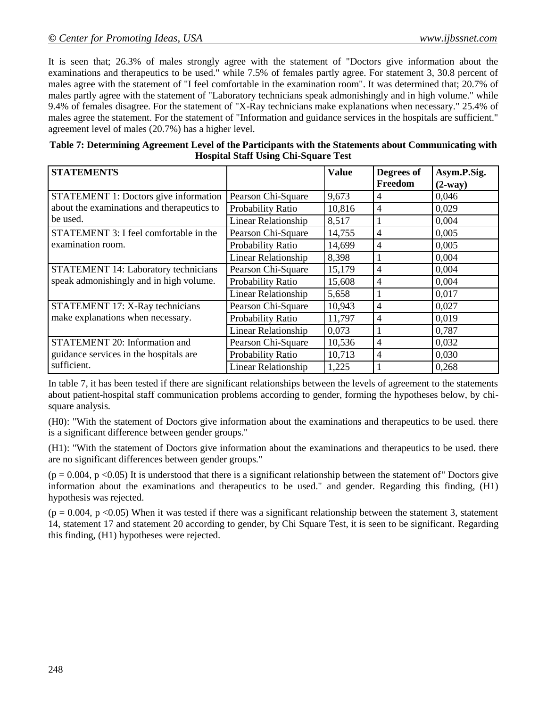It is seen that; 26.3% of males strongly agree with the statement of "Doctors give information about the examinations and therapeutics to be used." while 7.5% of females partly agree. For statement 3, 30.8 percent of males agree with the statement of "I feel comfortable in the examination room". It was determined that; 20.7% of males partly agree with the statement of "Laboratory technicians speak admonishingly and in high volume." while 9.4% of females disagree. For the statement of "X-Ray technicians make explanations when necessary." 25.4% of males agree the statement. For the statement of "Information and guidance services in the hospitals are sufficient." agreement level of males (20.7%) has a higher level.

| Table 7: Determining Agreement Level of the Participants with the Statements about Communicating with |
|-------------------------------------------------------------------------------------------------------|
| <b>Hospital Staff Using Chi-Square Test</b>                                                           |

| <b>STATEMENTS</b>                          |                            | <b>Value</b> | Degrees of<br>Freedom    | Asym.P.Sig.<br>$(2-way)$ |
|--------------------------------------------|----------------------------|--------------|--------------------------|--------------------------|
| STATEMENT 1: Doctors give information      | Pearson Chi-Square         | 9,673        | 4                        | 0,046                    |
| about the examinations and therapeutics to | Probability Ratio          | 10,816       | $\overline{4}$           | 0,029                    |
| be used.                                   | Linear Relationship        | 8,517        |                          | 0,004                    |
| STATEMENT 3: I feel comfortable in the     | Pearson Chi-Square         | 14,755       | 4                        | 0,005                    |
| examination room.                          | Probability Ratio          | 14,699       | $\overline{\mathcal{A}}$ | 0,005                    |
|                                            | Linear Relationship        | 8,398        |                          | 0,004                    |
| STATEMENT 14: Laboratory technicians       | Pearson Chi-Square         | 15,179       | 4                        | 0,004                    |
| speak admonishingly and in high volume.    | Probability Ratio          | 15,608       | 4                        | 0,004                    |
|                                            | Linear Relationship        | 5,658        |                          | 0,017                    |
| STATEMENT 17: X-Ray technicians            | Pearson Chi-Square         | 10,943       | 4                        | 0,027                    |
| make explanations when necessary.          | Probability Ratio          | 11,797       | 4                        | 0,019                    |
|                                            | <b>Linear Relationship</b> | 0,073        | л.                       | 0,787                    |
| STATEMENT 20: Information and              | Pearson Chi-Square         | 10,536       | $\overline{4}$           | 0,032                    |
| guidance services in the hospitals are     | Probability Ratio          | 10,713       | $\overline{4}$           | 0,030                    |
| sufficient.                                | <b>Linear Relationship</b> | 1,225        |                          | 0,268                    |

In table 7, it has been tested if there are significant relationships between the levels of agreement to the statements about patient-hospital staff communication problems according to gender, forming the hypotheses below, by chisquare analysis.

(H0): "With the statement of Doctors give information about the examinations and therapeutics to be used. there is a significant difference between gender groups."

(H1): "With the statement of Doctors give information about the examinations and therapeutics to be used. there are no significant differences between gender groups."

 $(p = 0.004, p \le 0.05)$  It is understood that there is a significant relationship between the statement of" Doctors give information about the examinations and therapeutics to be used." and gender. Regarding this finding, (H1) hypothesis was rejected.

 $(p = 0.004, p < 0.05)$  When it was tested if there was a significant relationship between the statement 3, statement 14, statement 17 and statement 20 according to gender, by Chi Square Test, it is seen to be significant. Regarding this finding, (H1) hypotheses were rejected.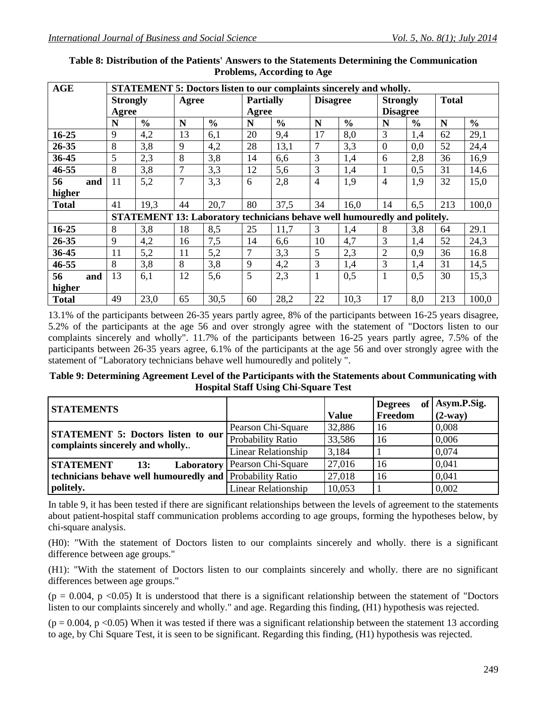| AGE          |     | <b>STATEMENT 5: Doctors listen to our complaints sincerely and wholly.</b> |               |       |                                                                                  |                  |               |                 |               |                 |               |              |               |
|--------------|-----|----------------------------------------------------------------------------|---------------|-------|----------------------------------------------------------------------------------|------------------|---------------|-----------------|---------------|-----------------|---------------|--------------|---------------|
|              |     | <b>Strongly</b>                                                            |               | Agree |                                                                                  | <b>Partially</b> |               | <b>Disagree</b> |               | <b>Strongly</b> |               | <b>Total</b> |               |
|              |     | Agree                                                                      |               |       |                                                                                  | Agree            |               |                 |               | <b>Disagree</b> |               |              |               |
|              |     | N                                                                          | $\frac{0}{0}$ | N     | $\frac{0}{0}$                                                                    | N                | $\frac{6}{6}$ | N               | $\frac{0}{0}$ | N               | $\frac{6}{9}$ | N            | $\frac{0}{0}$ |
| $16 - 25$    |     | 9                                                                          | 4,2           | 13    | 6,1                                                                              | 20               | 9,4           | 17              | 8,0           | 3               | 1,4           | 62           | 29,1          |
| 26-35        |     | 8                                                                          | 3,8           | 9     | 4,2                                                                              | 28               | 13,1          | $\overline{7}$  | 3,3           | $\overline{0}$  | 0,0           | 52           | 24,4          |
| 36-45        |     | 5                                                                          | 2,3           | 8     | 3,8                                                                              | 14               | 6,6           | 3               | 1,4           | 6               | 2,8           | 36           | 16,9          |
| $46 - 55$    |     | 8                                                                          | 3,8           | 7     | 3,3                                                                              | 12               | 5,6           | 3               | 1,4           | 1               | 0,5           | 31           | 14,6          |
| 56           | and | 11                                                                         | 5,2           | 7     | 3,3                                                                              | 6                | 2,8           | $\overline{4}$  | 1,9           | $\overline{4}$  | 1,9           | 32           | 15,0          |
| higher       |     |                                                                            |               |       |                                                                                  |                  |               |                 |               |                 |               |              |               |
| <b>Total</b> |     | 41                                                                         | 19,3          | 44    | 20,7                                                                             | 80               | 37,5          | 34              | 16,0          | 14              | 6,5           | 213          | 100,0         |
|              |     |                                                                            |               |       | <b>STATEMENT 13: Laboratory technicians behave well humouredly and politely.</b> |                  |               |                 |               |                 |               |              |               |
| $16 - 25$    |     | 8                                                                          | 3,8           | 18    | 8,5                                                                              | 25               | 11,7          | 3               | 1,4           | 8               | 3,8           | 64           | 29.1          |
| 26-35        |     | 9                                                                          | 4,2           | 16    | 7,5                                                                              | 14               | 6,6           | 10              | 4,7           | 3               | 1,4           | 52           | 24,3          |
| 36-45        |     | 11                                                                         | 5,2           | 11    | 5,2                                                                              | 7                | 3,3           | 5               | 2,3           | $\overline{2}$  | 0,9           | 36           | 16.8          |
| 46-55        |     | 8                                                                          | 3,8           | 8     | 3,8                                                                              | 9                | 4,2           | 3               | 1,4           | 3               | 1,4           | 31           | 14,5          |
| 56           | and | 13                                                                         | 6,1           | 12    | 5,6                                                                              | 5                | 2,3           | 1               | 0,5           | 1               | 0,5           | 30           | 15,3          |
| higher       |     |                                                                            |               |       |                                                                                  |                  |               |                 |               |                 |               |              |               |
| <b>Total</b> |     | 49                                                                         | 23,0          | 65    | 30,5                                                                             | 60               | 28,2          | 22              | 10,3          | 17              | 8,0           | 213          | 100,0         |

#### **Table 8: Distribution of the Patients' Answers to the Statements Determining the Communication Problems, According to Age**

13.1% of the participants between 26-35 years partly agree, 8% of the participants between 16-25 years disagree, 5.2% of the participants at the age 56 and over strongly agree with the statement of "Doctors listen to our complaints sincerely and wholly". 11.7% of the participants between 16-25 years partly agree, 7.5% of the participants between 26-35 years agree, 6.1% of the participants at the age 56 and over strongly agree with the statement of "Laboratory technicians behave well humouredly and politely ".

#### **Table 9: Determining Agreement Level of the Participants with the Statements about Communicating with Hospital Staff Using Chi-Square Test**

| <b>STATEMENTS</b>                                                            |                                 | <b>Value</b> | <b>Degrees</b><br>Freedom | of Asym.P.Sig.<br>$(2-way)$ |
|------------------------------------------------------------------------------|---------------------------------|--------------|---------------------------|-----------------------------|
|                                                                              | Pearson Chi-Square              | 32,886       | 16                        | 0,008                       |
| <b>STATEMENT 5: Doctors listen to our</b><br>complaints sincerely and wholly | Probability Ratio               | 33,586       | 16                        | 0.006                       |
|                                                                              | <b>Linear Relationship</b>      | 3,184        |                           | 0,074                       |
| <b>STATEMENT</b><br>13:                                                      | Laboratory   Pearson Chi-Square | 27,016       | 16                        | 0,041                       |
| technicians behave well humouredly and Probability Ratio                     |                                 | 27,018       | 16                        | 0,041                       |
| politely.                                                                    | <b>Linear Relationship</b>      | 10,053       |                           | 0,002                       |

In table 9, it has been tested if there are significant relationships between the levels of agreement to the statements about patient-hospital staff communication problems according to age groups, forming the hypotheses below, by chi-square analysis.

(H0): "With the statement of Doctors listen to our complaints sincerely and wholly. there is a significant difference between age groups."

(H1): "With the statement of Doctors listen to our complaints sincerely and wholly. there are no significant differences between age groups."

 $(p = 0.004, p < 0.05)$  It is understood that there is a significant relationship between the statement of "Doctors" listen to our complaints sincerely and wholly." and age. Regarding this finding, (H1) hypothesis was rejected.

 $(p = 0.004, p \le 0.05)$  When it was tested if there was a significant relationship between the statement 13 according to age, by Chi Square Test, it is seen to be significant. Regarding this finding, (H1) hypothesis was rejected.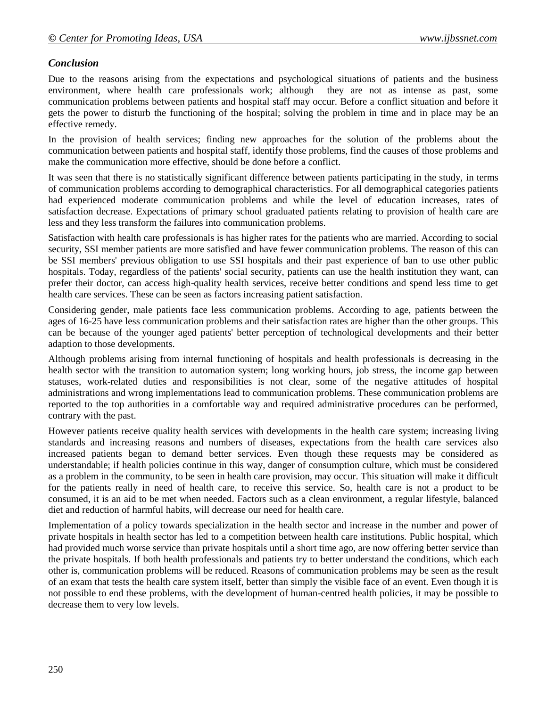# *Conclusion*

Due to the reasons arising from the expectations and psychological situations of patients and the business environment, where health care professionals work; although they are not as intense as past, some communication problems between patients and hospital staff may occur. Before a conflict situation and before it gets the power to disturb the functioning of the hospital; solving the problem in time and in place may be an effective remedy.

In the provision of health services; finding new approaches for the solution of the problems about the communication between patients and hospital staff, identify those problems, find the causes of those problems and make the communication more effective, should be done before a conflict.

It was seen that there is no statistically significant difference between patients participating in the study, in terms of communication problems according to demographical characteristics. For all demographical categories patients had experienced moderate communication problems and while the level of education increases, rates of satisfaction decrease. Expectations of primary school graduated patients relating to provision of health care are less and they less transform the failures into communication problems.

Satisfaction with health care professionals is has higher rates for the patients who are married. According to social security, SSI member patients are more satisfied and have fewer communication problems. The reason of this can be SSI members' previous obligation to use SSI hospitals and their past experience of ban to use other public hospitals. Today, regardless of the patients' social security, patients can use the health institution they want, can prefer their doctor, can access high-quality health services, receive better conditions and spend less time to get health care services. These can be seen as factors increasing patient satisfaction.

Considering gender, male patients face less communication problems. According to age, patients between the ages of 16-25 have less communication problems and their satisfaction rates are higher than the other groups. This can be because of the younger aged patients' better perception of technological developments and their better adaption to those developments.

Although problems arising from internal functioning of hospitals and health professionals is decreasing in the health sector with the transition to automation system; long working hours, job stress, the income gap between statuses, work-related duties and responsibilities is not clear, some of the negative attitudes of hospital administrations and wrong implementations lead to communication problems. These communication problems are reported to the top authorities in a comfortable way and required administrative procedures can be performed, contrary with the past.

However patients receive quality health services with developments in the health care system; increasing living standards and increasing reasons and numbers of diseases, expectations from the health care services also increased patients began to demand better services. Even though these requests may be considered as understandable; if health policies continue in this way, danger of consumption culture, which must be considered as a problem in the community, to be seen in health care provision, may occur. This situation will make it difficult for the patients really in need of health care, to receive this service. So, health care is not a product to be consumed, it is an aid to be met when needed. Factors such as a clean environment, a regular lifestyle, balanced diet and reduction of harmful habits, will decrease our need for health care.

Implementation of a policy towards specialization in the health sector and increase in the number and power of private hospitals in health sector has led to a competition between health care institutions. Public hospital, which had provided much worse service than private hospitals until a short time ago, are now offering better service than the private hospitals. If both health professionals and patients try to better understand the conditions, which each other is, communication problems will be reduced. Reasons of communication problems may be seen as the result of an exam that tests the health care system itself, better than simply the visible face of an event. Even though it is not possible to end these problems, with the development of human-centred health policies, it may be possible to decrease them to very low levels.